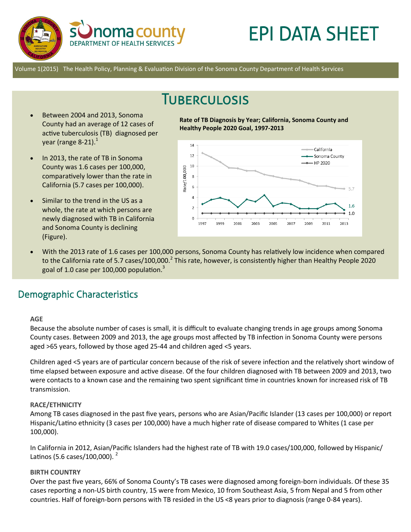

# EPI DATA SHEET

Volume 1(2015) The Health Policy, Planning & Evaluation Division of the Sonoma County Department of Health Services

## **TUBERCULOSIS**

- Between 2004 and 2013, Sonoma County had an average of 12 cases of active tuberculosis (TB) diagnosed per year (range 8-21). $<sup>1</sup>$ </sup>
- In 2013, the rate of TB in Sonoma County was 1.6 cases per 100,000, comparatively lower than the rate in California (5.7 cases per 100,000).
- Similar to the trend in the US as a whole, the rate at which persons are newly diagnosed with TB in California and Sonoma County is declining (Figure).

**Rate of TB Diagnosis by Year; California, Sonoma County and Healthy People 2020 Goal, 1997-2013**



 With the 2013 rate of 1.6 cases per 100,000 persons, Sonoma County has relatively low incidence when compared to the California rate of 5.7 cases/100,000.<sup>2</sup> This rate, however, is consistently higher than Healthy People 2020 goal of 1.0 case per 100,000 population. $3$ 

## Demographic Characteristics

#### **AGE**

Because the absolute number of cases is small, it is difficult to evaluate changing trends in age groups among Sonoma County cases. Between 2009 and 2013, the age groups most affected by TB infection in Sonoma County were persons aged >65 years, followed by those aged 25-44 and children aged <5 years.

Children aged <5 years are of particular concern because of the risk of severe infection and the relatively short window of time elapsed between exposure and active disease. Of the four children diagnosed with TB between 2009 and 2013, two were contacts to a known case and the remaining two spent significant time in countries known for increased risk of TB transmission.

#### **RACE/ETHNICITY**

Among TB cases diagnosed in the past five years, persons who are Asian/Pacific Islander (13 cases per 100,000) or report Hispanic/Latino ethnicity (3 cases per 100,000) have a much higher rate of disease compared to Whites (1 case per 100,000).

In California in 2012, Asian/Pacific Islanders had the highest rate of TB with 19.0 cases/100,000, followed by Hispanic/ Latinos (5.6 cases/100,000).  $^{2}$ 

#### **BIRTH COUNTRY**

Over the past five years, 66% of Sonoma County's TB cases were diagnosed among foreign-born individuals. Of these 35 cases reporting a non-US birth country, 15 were from Mexico, 10 from Southeast Asia, 5 from Nepal and 5 from other countries. Half of foreign-born persons with TB resided in the US <8 years prior to diagnosis (range 0-84 years).